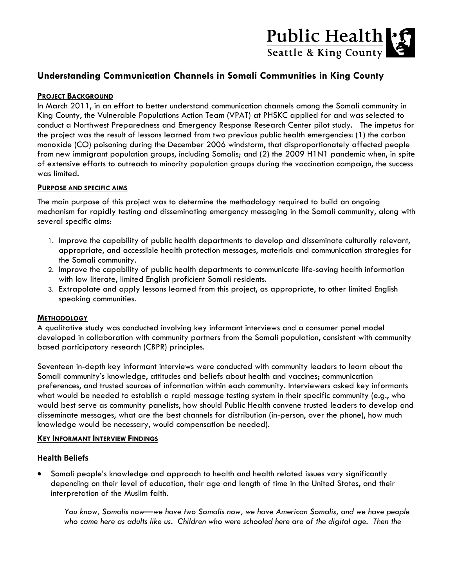# Public Health

## **Understanding Communication Channels in Somali Communities in King County**

#### **PROJECT BACKGROUND**

In March 2011, in an effort to better understand communication channels among the Somali community in King County, the Vulnerable Populations Action Team (VPAT) at PHSKC applied for and was selected to conduct a Northwest Preparedness and Emergency Response Research Center pilot study. The impetus for the project was the result of lessons learned from two previous public health emergencies: (1) the carbon monoxide (CO) poisoning during the December 2006 windstorm, that disproportionately affected people from new immigrant population groups, including Somalis; and (2) the 2009 H1N1 pandemic when, in spite of extensive efforts to outreach to minority population groups during the vaccination campaign, the success was limited.

#### **PURPOSE AND SPECIFIC AIMS**

The main purpose of this project was to determine the methodology required to build an ongoing mechanism for rapidly testing and disseminating emergency messaging in the Somali community, along with several specific aims:

- 1. Improve the capability of public health departments to develop and disseminate culturally relevant, appropriate, and accessible health protection messages, materials and communication strategies for the Somali community.
- 2. Improve the capability of public health departments to communicate life-saving health information with low literate, limited English proficient Somali residents.
- 3. Extrapolate and apply lessons learned from this project, as appropriate, to other limited English speaking communities.

#### **METHODOLOGY**

A qualitative study was conducted involving key informant interviews and a consumer panel model developed in collaboration with community partners from the Somali population, consistent with community based participatory research (CBPR) principles.

Seventeen in-depth key informant interviews were conducted with community leaders to learn about the Somali community's knowledge, attitudes and beliefs about health and vaccines; communication preferences, and trusted sources of information within each community. Interviewers asked key informants what would be needed to establish a rapid message testing system in their specific community (e.g., who would best serve as community panelists, how should Public Health convene trusted leaders to develop and disseminate messages, what are the best channels for distribution (in-person, over the phone), how much knowledge would be necessary, would compensation be needed).

#### **KEY INFORMANT INTERVIEW FINDINGS**

### **Health Beliefs**

 Somali people's knowledge and approach to health and health related issues vary significantly depending on their level of education, their age and length of time in the United States, and their interpretation of the Muslim faith.

*You know, Somalis now—we have two Somalis now, we have American Somalis, and we have people*  who came here as adults like us. Children who were schooled here are of the digital age. Then the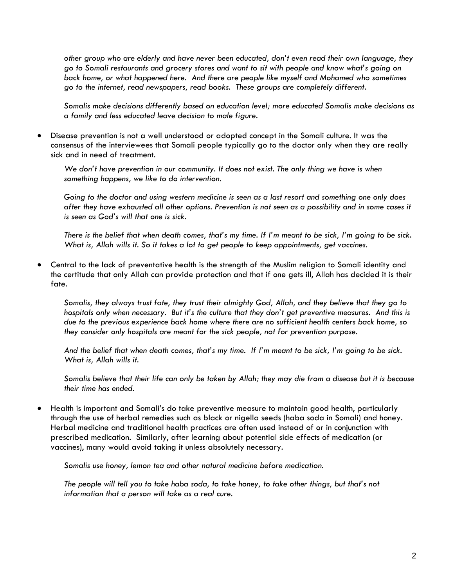*other group who are elderly and have never been educated, don't even read their own language, they go to Somali restaurants and grocery stores and want to sit with people and know what's going on back home, or what happened here. And there are people like myself and Mohamed who sometimes go to the internet, read newspapers, read books. These groups are completely different.*

*Somalis make decisions differently based on education level; more educated Somalis make decisions as a family and less educated leave decision to male figure.*

 Disease prevention is not a well understood or adopted concept in the Somali culture. It was the consensus of the interviewees that Somali people typically go to the doctor only when they are really sick and in need of treatment.

*We don't have prevention in our community. It does not exist. The only thing we have is when something happens, we like to do intervention.* 

*Going to the doctor and using western medicine is seen as a last resort and something one only does after they have exhausted all other options. Prevention is not seen as a possibility and in some cases it is seen as God's will that one is sick.*

*There is the belief that when death comes, that's my time. If I'm meant to be sick, I'm going to be sick. What is, Allah wills it. So it takes a lot to get people to keep appointments, get vaccines.*

 Central to the lack of preventative health is the strength of the Muslim religion to Somali identity and the certitude that only Allah can provide protection and that if one gets ill, Allah has decided it is their fate.

*Somalis, they always trust fate, they trust their almighty God, Allah, and they believe that they go to hospitals only when necessary. But it's the culture that they don't get preventive measures. And this is due to the previous experience back home where there are no sufficient health centers back home, so they consider only hospitals are meant for the sick people, not for prevention purpose.* 

*And the belief that when death comes, that's my time. If I'm meant to be sick, I'm going to be sick. What is, Allah wills it.*

*Somalis believe that their life can only be taken by Allah; they may die from a disease but it is because their time has ended.*

 Health is important and Somali's do take preventive measure to maintain good health, particularly through the use of herbal remedies such as black or nigella seeds (haba soda in Somali) and honey. Herbal medicine and traditional health practices are often used instead of or in conjunction with prescribed medication. Similarly, after learning about potential side effects of medication (or vaccines), many would avoid taking it unless absolutely necessary.

*Somalis use honey, lemon tea and other natural medicine before medication.*

*The people will tell you to take haba soda, to take honey, to take other things, but that's not information that a person will take as a real cure.*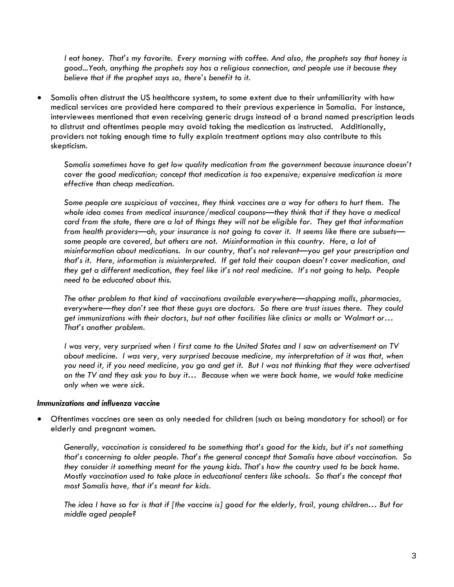*I eat honey. That's my favorite. Every morning with coffee. And also, the prophets say that honey is good...Yeah, anything the prophets say has a religious connection, and people use it because they believe that if the prophet says so, there's benefit to it.*

 Somalis often distrust the US healthcare system, to some extent due to their unfamiliarity with how medical services are provided here compared to their previous experience in Somalia. For instance, interviewees mentioned that even receiving generic drugs instead of a brand named prescription leads to distrust and oftentimes people may avoid taking the medication as instructed. Additionally, providers not taking enough time to fully explain treatment options may also contribute to this skepticism.

*Somalis sometimes have to get low quality medication from the government because insurance doesn't cover the good medication; concept that medication is too expensive; expensive medication is more effective than cheap medication.*

*Some people are suspicious of vaccines, they think vaccines are a way for others to hurt them. The whole idea comes from medical insurance/medical coupons—they think that if they have a medical card from the state, there are a lot of things they will not be eligible for. They get that information from health providers—oh, your insurance is not going to cover it. It seems like there are subsets some people are covered, but others are not. Misinformation in this country. Here, a lot of misinformation about medications. In our country, that's not relevant—you get your prescription and that's it. Here, information is misinterpreted. If get told their coupon doesn't cover medication, and they get a different medication, they feel like it's not real medicine. It's not going to help. People need to be educated about this.*

*The other problem to that kind of vaccinations available everywhere—shopping malls, pharmacies, everywhere—they don't see that these guys are doctors. So there are trust issues there. They could get immunizations with their doctors, but not other facilities like clinics or malls or Walmart or… That's another problem.*

*I was very, very surprised when I first came to the United States and I saw an advertisement on TV about medicine. I was very, very surprised because medicine, my interpretation of it was that, when you need it, if you need medicine, you go and get it. But I was not thinking that they were advertised on the TV and they ask you to buy it… Because when we were back home, we would take medicine only when we were sick.* 

#### *Immunizations and influenza vaccine*

 Oftentimes vaccines are seen as only needed for children (such as being mandatory for school) or for elderly and pregnant women.

*Generally, vaccination is considered to be something that's good for the kids, but it's not something that's concerning to older people. That's the general concept that Somalis have about vaccination. So they consider it something meant for the young kids. That's how the country used to be back home. Mostly vaccination used to take place in educational centers like schools. So that's the concept that most Somalis have, that it's meant for kids.*

*The idea I have so far is that if [the vaccine is] good for the elderly, frail, young children… But for middle aged people?*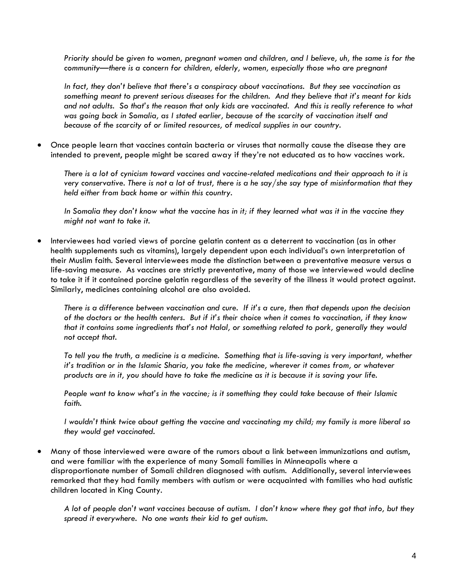*Priority should be given to women, pregnant women and children, and I believe, uh, the same is for the community—there is a concern for children, elderly, women, especially those who are pregnant*

*In fact, they don't believe that there's a conspiracy about vaccinations. But they see vaccination as something meant to prevent serious diseases for the children. And they believe that it's meant for kids and not adults. So that's the reason that only kids are vaccinated. And this is really reference to what was going back in Somalia, as I stated earlier, because of the scarcity of vaccination itself and because of the scarcity of or limited resources, of medical supplies in our country.* 

 Once people learn that vaccines contain bacteria or viruses that normally cause the disease they are intended to prevent, people might be scared away if they're not educated as to how vaccines work.

*There is a lot of cynicism toward vaccines and vaccine-related medications and their approach to it is very conservative. There is not a lot of trust, there is a he say/she say type of misinformation that they held either from back home or within this country.*

*In Somalia they don't know what the vaccine has in it; if they learned what was it in the vaccine they might not want to take it.*

 Interviewees had varied views of porcine gelatin content as a deterrent to vaccination (as in other health supplements such as vitamins), largely dependent upon each individual's own interpretation of their Muslim faith. Several interviewees made the distinction between a preventative measure versus a life-saving measure. As vaccines are strictly preventative, many of those we interviewed would decline to take it if it contained porcine gelatin regardless of the severity of the illness it would protect against. Similarly, medicines containing alcohol are also avoided.

*There is a difference between vaccination and cure. If it's a cure, then that depends upon the decision of the doctors or the health centers. But if it's their choice when it comes to vaccination, if they know that it contains some ingredients that's not Halal, or something related to pork, generally they would not accept that.* 

*To tell you the truth, a medicine is a medicine. Something that is life-saving is very important, whether it's tradition or in the Islamic Sharia, you take the medicine, wherever it comes from, or whatever products are in it, you should have to take the medicine as it is because it is saving your life.*

*People want to know what's in the vaccine; is it something they could take because of their Islamic faith.*

*I wouldn't think twice about getting the vaccine and vaccinating my child; my family is more liberal so they would get vaccinated.*

 Many of those interviewed were aware of the rumors about a link between immunizations and autism, and were familiar with the experience of many Somali families in Minneapolis where a disproportionate number of Somali children diagnosed with autism. Additionally, several interviewees remarked that they had family members with autism or were acquainted with families who had autistic children located in King County.

*A lot of people don't want vaccines because of autism. I don't know where they got that info, but they spread it everywhere. No one wants their kid to get autism.*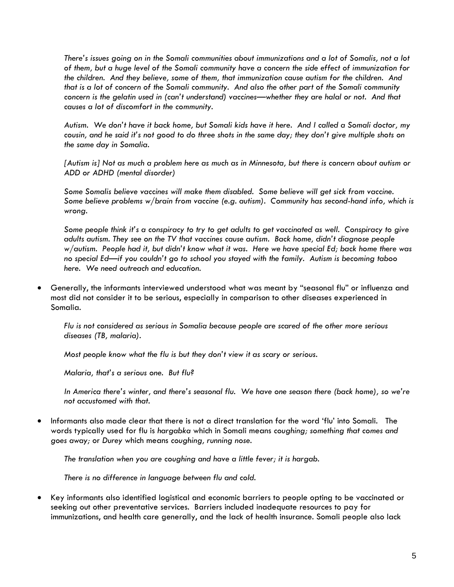*There's issues going on in the Somali communities about immunizations and a lot of Somalis, not a lot of them, but a huge level of the Somali community have a concern the side effect of immunization for the children. And they believe, some of them, that immunization cause autism for the children. And that is a lot of concern of the Somali community. And also the other part of the Somali community concern is the gelatin used in (can't understand) vaccines—whether they are halal or not. And that causes a lot of discomfort in the community.*

*Autism. We don't have it back home, but Somali kids have it here. And I called a Somali doctor, my cousin, and he said it's not good to do three shots in the same day; they don't give multiple shots on the same day in Somalia.*

*[Autism is] Not as much a problem here as much as in Minnesota, but there is concern about autism or ADD or ADHD (mental disorder)*

*Some Somalis believe vaccines will make them disabled. Some believe will get sick from vaccine. Some believe problems w/brain from vaccine (e.g. autism). Community has second-hand info, which is wrong.*

*Some people think it's a conspiracy to try to get adults to get vaccinated as well. Conspiracy to give adults autism. They see on the TV that vaccines cause autism. Back home, didn't diagnose people w/autism. People had it, but didn't know what it was. Here we have special Ed; back home there was no special Ed—if you couldn't go to school you stayed with the family. Autism is becoming taboo here. We need outreach and education.*

 Generally, the informants interviewed understood what was meant by "seasonal flu" or influenza and most did not consider it to be serious, especially in comparison to other diseases experienced in Somalia.

*Flu is not considered as serious in Somalia because people are scared of the other more serious diseases (TB, malaria).*

*Most people know what the flu is but they don't view it as scary or serious.*

*Malaria, that's a serious one. But flu?*

In America there's winter, and there's seasonal flu. We have one season there (back home), so we're *not accustomed with that.*

 Informants also made clear that there is not a direct translation for the word 'flu' into Somali. The words typically used for flu is *hargabka* which in Somali means *coughing; something that comes and goes away;* or *Durey* which means *coughing, running nose.* 

*The translation when you are coughing and have a little fever; it is hargab.*

*There is no difference in language between flu and cold.*

 Key informants also identified logistical and economic barriers to people opting to be vaccinated or seeking out other preventative services. Barriers included inadequate resources to pay for immunizations, and health care generally, and the lack of health insurance. Somali people also lack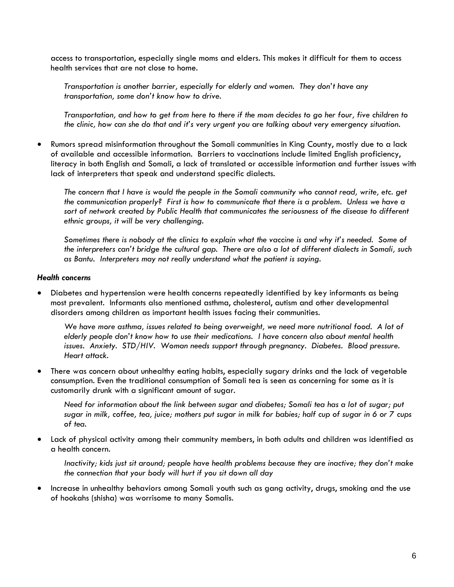access to transportation, especially single moms and elders. This makes it difficult for them to access health services that are not close to home.

*Transportation is another barrier, especially for elderly and women. They don't have any transportation, some don't know how to drive.*

*Transportation, and how to get from here to there if the mom decides to go her four, five children to the clinic, how can she do that and it's very urgent you are talking about very emergency situation.*

 Rumors spread misinformation throughout the Somali communities in King County, mostly due to a lack of available and accessible information. Barriers to vaccinations include limited English proficiency, literacy in both English and Somali, a lack of translated or accessible information and further issues with lack of interpreters that speak and understand specific dialects.

*The concern that I have is would the people in the Somali community who cannot read, write, etc. get the communication properly? First is how to communicate that there is a problem. Unless we have a sort of network created by Public Health that communicates the seriousness of the disease to different ethnic groups, it will be very challenging.*

*Sometimes there is nobody at the clinics to explain what the vaccine is and why it's needed. Some of the interpreters can't bridge the cultural gap. There are also a lot of different dialects in Somali, such as Bantu. Interpreters may not really understand what the patient is saying.*

#### *Health concerns*

 Diabetes and hypertension were health concerns repeatedly identified by key informants as being most prevalent. Informants also mentioned asthma, cholesterol, autism and other developmental disorders among children as important health issues facing their communities.

We have more asthma, issues related to being overweight, we need more nutritional food. A lot of *elderly people don't know how to use their medications. I have concern also about mental health issues. Anxiety. STD/HIV. Woman needs support through pregnancy. Diabetes. Blood pressure. Heart attack.*

 There was concern about unhealthy eating habits, especially sugary drinks and the lack of vegetable consumption. Even the traditional consumption of Somali tea is seen as concerning for some as it is customarily drunk with a significant amount of sugar.

*Need for information about the link between sugar and diabetes; Somali tea has a lot of sugar; put sugar in milk, coffee, tea, juice; mothers put sugar in milk for babies; half cup of sugar in 6 or 7 cups of tea.*

 Lack of physical activity among their community members, in both adults and children was identified as a health concern.

*Inactivity; kids just sit around; people have health problems because they are inactive; they don't make the connection that your body will hurt if you sit down all day*

 Increase in unhealthy behaviors among Somali youth such as gang activity, drugs, smoking and the use of hookahs (shisha) was worrisome to many Somalis.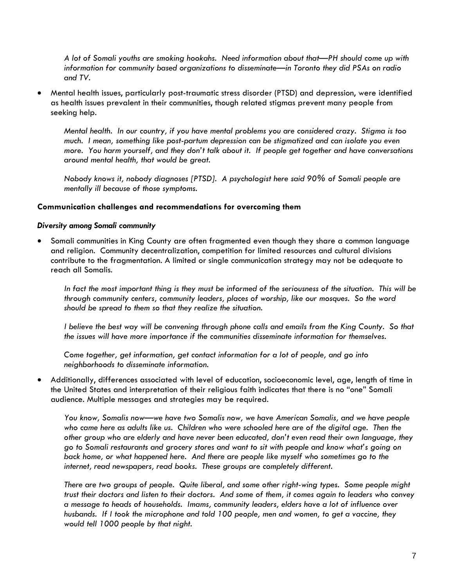*A lot of Somali youths are smoking hookahs. Need information about that—PH should come up with information for community based organizations to disseminate—in Toronto they did PSAs on radio and TV.*

 Mental health issues, particularly post-traumatic stress disorder (PTSD) and depression, were identified as health issues prevalent in their communities, though related stigmas prevent many people from seeking help.

*Mental health. In our country, if you have mental problems you are considered crazy. Stigma is too much. I mean, something like post-partum depression can be stigmatized and can isolate you even more. You harm yourself, and they don't talk about it. If people get together and have conversations around mental health, that would be great.*

*Nobody knows it, nobody diagnoses [PTSD]. A psychologist here said 90% of Somali people are mentally ill because of those symptoms.* 

#### **Communication challenges and recommendations for overcoming them**

#### *Diversity among Somali community*

 Somali communities in King County are often fragmented even though they share a common language and religion. Community decentralization, competition for limited resources and cultural divisions contribute to the fragmentation. A limited or single communication strategy may not be adequate to reach all Somalis.

*In fact the most important thing is they must be informed of the seriousness of the situation. This will be through community centers, community leaders, places of worship, like our mosques. So the word should be spread to them so that they realize the situation.*

*I believe the best way will be convening through phone calls and emails from the King County. So that the issues will have more importance if the communities disseminate information for themselves.*

*Come together, get information, get contact information for a lot of people, and go into neighborhoods to disseminate information.*

 Additionally, differences associated with level of education, socioeconomic level, age, length of time in the United States and interpretation of their religious faith indicates that there is no "one" Somali audience. Multiple messages and strategies may be required.

*You know, Somalis now—we have two Somalis now, we have American Somalis, and we have people who came here as adults like us. Children who were schooled here are of the digital age. Then the other group who are elderly and have never been educated, don't even read their own language, they go to Somali restaurants and grocery stores and want to sit with people and know what's going on back home, or what happened here. And there are people like myself who sometimes go to the internet, read newspapers, read books. These groups are completely different.*

*There are two groups of people. Quite liberal, and some other right-wing types. Some people might trust their doctors and listen to their doctors. And some of them, it comes again to leaders who convey a message to heads of households. Imams, community leaders, elders have a lot of influence over husbands. If I took the microphone and told 100 people, men and women, to get a vaccine, they would tell 1000 people by that night.*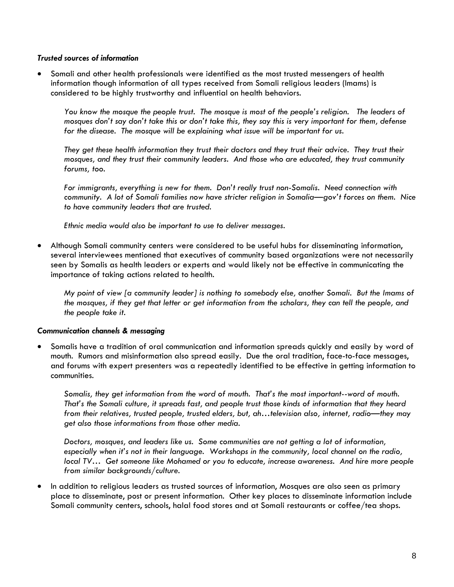#### *Trusted sources of information*

 Somali and other health professionals were identified as the most trusted messengers of health information though information of all types received from Somali religious leaders (Imams) is considered to be highly trustworthy and influential on health behaviors.

*You know the mosque the people trust. The mosque is most of the people's religion. The leaders of mosques don't say don't take this or don't take this, they say this is very important for them, defense for the disease. The mosque will be explaining what issue will be important for us.*

*They get these health information they trust their doctors and they trust their advice. They trust their mosques, and they trust their community leaders. And those who are educated, they trust community forums, too.*

*For immigrants, everything is new for them. Don't really trust non-Somalis. Need connection with community. A lot of Somali families now have stricter religion in Somalia—gov't forces on them. Nice to have community leaders that are trusted.* 

*Ethnic media would also be important to use to deliver messages.*

 Although Somali community centers were considered to be useful hubs for disseminating information, several interviewees mentioned that executives of community based organizations were not necessarily seen by Somalis as health leaders or experts and would likely not be effective in communicating the importance of taking actions related to health.

*My point of view [a community leader] is nothing to somebody else, another Somali. But the Imams of the mosques, if they get that letter or get information from the scholars, they can tell the people, and the people take it.*

#### *Communication channels & messaging*

 Somalis have a tradition of oral communication and information spreads quickly and easily by word of mouth. Rumors and misinformation also spread easily. Due the oral tradition, face-to-face messages, and forums with expert presenters was a repeatedly identified to be effective in getting information to communities.

*Somalis, they get information from the word of mouth. That's the most important--word of mouth. That's the Somali culture, it spreads fast, and people trust those kinds of information that they heard from their relatives, trusted people, trusted elders, but, ah…television also, internet, radio—they may get also those informations from those other media.*

*Doctors, mosques, and leaders like us. Some communities are not getting a lot of information, especially when it's not in their language. Workshops in the community, local channel on the radio, local TV… Get someone like Mohamed or you to educate, increase awareness. And hire more people from similar backgrounds/culture.*

 In addition to religious leaders as trusted sources of information, Mosques are also seen as primary place to disseminate, post or present information. Other key places to disseminate information include Somali community centers, schools, halal food stores and at Somali restaurants or coffee/tea shops.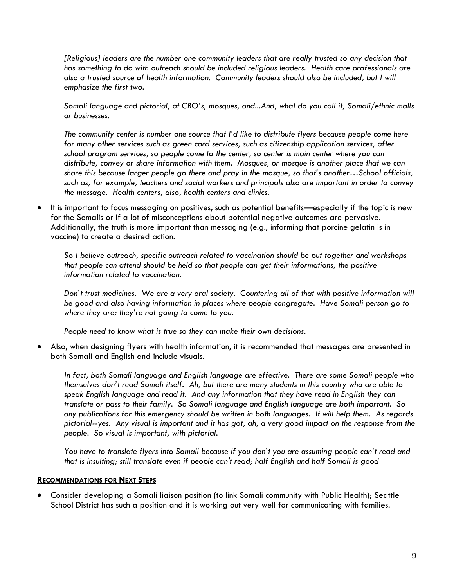*[Religious] leaders are the number one community leaders that are really trusted so any decision that has something to do with outreach should be included religious leaders. Health care professionals are also a trusted source of health information. Community leaders should also be included, but I will emphasize the first two.*

*Somali language and pictorial, at CBO's, mosques, and...And, what do you call it, Somali/ethnic malls or businesses.*

*The community center is number one source that I'd like to distribute flyers because people come here for many other services such as green card services, such as citizenship application services, after school program services, so people come to the center, so center is main center where you can distribute, convey or share information with them. Mosques, or mosque is another place that we can share this because larger people go there and pray in the mosque, so that's another…School officials, such as, for example, teachers and social workers and principals also are important in order to convey the message. Health centers, also, health centers and clinics.*

 It is important to focus messaging on positives, such as potential benefits—especially if the topic is new for the Somalis or if a lot of misconceptions about potential negative outcomes are pervasive. Additionally, the truth is more important than messaging (e.g., informing that porcine gelatin is in vaccine) to create a desired action.

*So I believe outreach, specific outreach related to vaccination should be put together and workshops that people can attend should be held so that people can get their informations, the positive information related to vaccination.*

*Don't trust medicines. We are a very oral society. Countering all of that with positive information will be good and also having information in places where people congregate. Have Somali person go to where they are; they're not going to come to you.*

*People need to know what is true so they can make their own decisions.*

 Also, when designing flyers with health information, it is recommended that messages are presented in both Somali and English and include visuals.

*In fact, both Somali language and English language are effective. There are some Somali people who themselves don't read Somali itself. Ah, but there are many students in this country who are able to speak English language and read it. And any information that they have read in English they can translate or pass to their family. So Somali language and English language are both important. So any publications for this emergency should be written in both languages. It will help them. As regards pictorial--yes. Any visual is important and it has got, ah, a very good impact on the response from the people. So visual is important, with pictorial.*

*You have to translate flyers into Somali because if you don't you are assuming people can't read and that is insulting; still translate even if people can't read; half English and half Somali is good*

#### **RECOMMENDATIONS FOR NEXT STEPS**

 Consider developing a Somali liaison position (to link Somali community with Public Health); Seattle School District has such a position and it is working out very well for communicating with families.